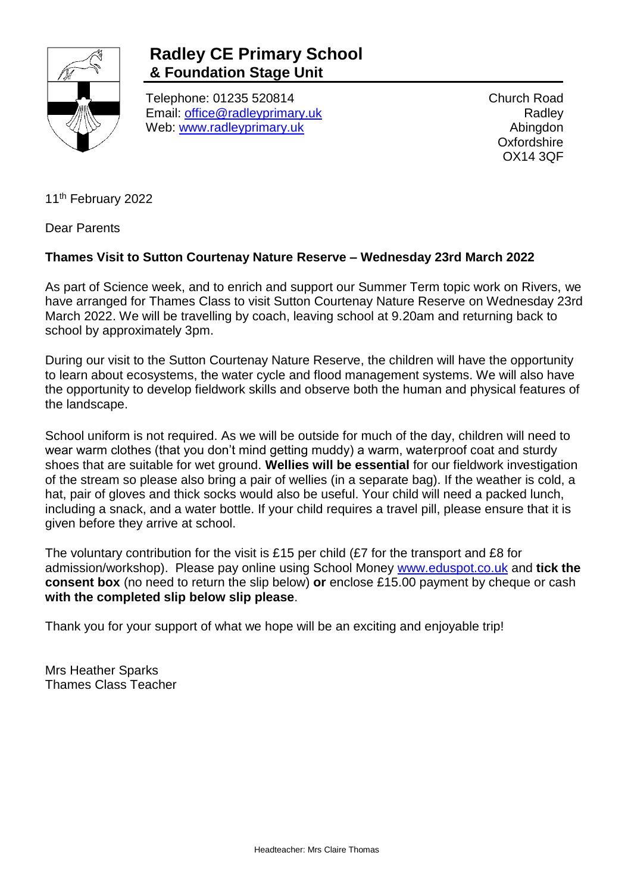

## **Radley CE Primary School & Foundation Stage Unit**

Telephone: 01235 520814 Email: [office@radleyprimary.uk](mailto:office@radleyprimary.uk) Web: [www.radleyprimary.uk](http://www.radleyprimary.uk/)

Church Road **Radley** Abingdon **Oxfordshire** OX14 3QF

11<sup>th</sup> February 2022

Dear Parents

## **Thames Visit to Sutton Courtenay Nature Reserve – Wednesday 23rd March 2022**

As part of Science week, and to enrich and support our Summer Term topic work on Rivers, we have arranged for Thames Class to visit Sutton Courtenay Nature Reserve on Wednesday 23rd March 2022. We will be travelling by coach, leaving school at 9.20am and returning back to school by approximately 3pm.

During our visit to the Sutton Courtenay Nature Reserve, the children will have the opportunity to learn about ecosystems, the water cycle and flood management systems. We will also have the opportunity to develop fieldwork skills and observe both the human and physical features of the landscape.

School uniform is not required. As we will be outside for much of the day, children will need to wear warm clothes (that you don't mind getting muddy) a warm, waterproof coat and sturdy shoes that are suitable for wet ground. **Wellies will be essential** for our fieldwork investigation of the stream so please also bring a pair of wellies (in a separate bag). If the weather is cold, a hat, pair of gloves and thick socks would also be useful. Your child will need a packed lunch, including a snack, and a water bottle. If your child requires a travel pill, please ensure that it is given before they arrive at school.

The voluntary contribution for the visit is £15 per child (£7 for the transport and £8 for admission/workshop). Please pay online using School Money [www.eduspot.co.uk](http://www.eduspot.co.uk/) and **tick the consent box** (no need to return the slip below) **or** enclose £15.00 payment by cheque or cash **with the completed slip below slip please**.

Thank you for your support of what we hope will be an exciting and enjoyable trip!

Mrs Heather Sparks Thames Class Teacher